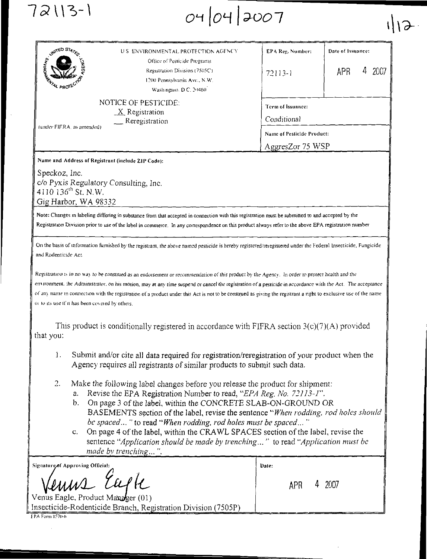| O4 O4 2007                            |                                   |  |
|---------------------------------------|-----------------------------------|--|
| J.S. ENVIRONMENTAL PROTECTION AGENCY. | <b>EPA Reg. Number:   Date of</b> |  |

| UNITED STATE                                                                                | U.S. ENVIRONMENTAL PROTECTION AGENCY                                                                                    | EPA Reg. Number:                                                                   | Date of Issuance: |  |
|---------------------------------------------------------------------------------------------|-------------------------------------------------------------------------------------------------------------------------|------------------------------------------------------------------------------------|-------------------|--|
| <b>FENTAL PROTE</b>                                                                         | Office of Pesticide Programs<br>Registration Division (7505C)<br>1200 Pennsylvania Ave., N.W.<br>Washington, D.C. 20460 | $72113-1$                                                                          | 2007<br>APR<br>4  |  |
| NOTICE OF PESTICIDE.<br>$X$ Registration<br>$R$ eregistration<br>(under FIFRA, as amended). |                                                                                                                         | Term of Issuance:<br>Conditional<br>Name of Pesticide Product:<br>AggresZor 75 WSP |                   |  |

Name and Address of Registrant (include ZIP Code):

72113-1

Speckoz, Inc. c/o Pyxis Regulatory Consulting, Inc. 4110 136<sup>th</sup> St. N.W. Gig Harbor, WA 98332

Note: Changes in labeling differing in substance from that accepted in connection with this registration must be submitted to and accepted by the Registration Division prior to use of the label in commerce. In any correspondence on this product always refer to the above EPA registration number

On the basis of information furnished by the registrant, the above named pesticide is hereby registered/reregistered under the Federal Insecticide, Fungicide and Rodenticide Act.

Registration is in no way to be construed as an endorsement or recommendation of this product by the Agency. In order to protect health and the environment, the Administrator, on his motion, may at any time suspend or cancel the registration of a pesticide in accordance with the Act. The acceptance of any name in connection with the registration of a product under this Act is not to be construed as giving the registrant a right to exclusive use of the name or to its use if it has been covered by others

This product is conditionally registered in accordance with FIFRA section  $3(c)(7)(A)$  provided that you:

- $\mathbf{1}$ . Submit and/or cite all data required for registration/reregistration of your product when the Agency requires all registrants of similar products to submit such data.
- $2.$ Make the following label changes before you release the product for shipment:
	- Revise the EPA Registration Number to read, "EPA Reg. No. 72113-1".  $a<sub>1</sub>$
	- b. On page 3 of the label, within the CONCRETE SLAB-ON-GROUND OR BASEMENTS section of the label, revise the sentence "When rodding, rod holes should be spaced..." to read "When rodding, rod holes must be spaced..."
	- c. On page 4 of the label, within the CRAWL SPACES section of the label, revise the sentence "Application should be made by trenching..." to read "Application must be made by trenching...".

| Signature of Approving Official:                              | Date: |  |        |
|---------------------------------------------------------------|-------|--|--------|
| Venus Luft                                                    |       |  | 4 2007 |
|                                                               |       |  |        |
| Insecticide-Rodenticide Branch, Registration Division (7505P) |       |  |        |
| FPA Form 8: 70-6                                              |       |  |        |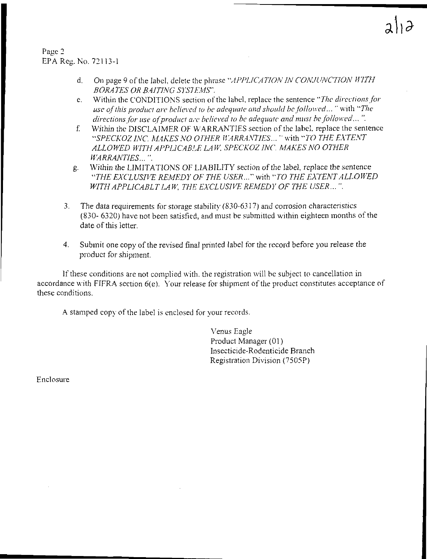Page 2 EPA Reg. No. 72113-1

- d. On page 9 of the label, delete the phrase "APPLICATION IN CONJUNCTION WITH *BORATES OR B.4ITlNG SYSTEMS'.*
- e. Within the CONDITIONS section of the label, replace the sentence "*The directions for use of this product are believed to be adequate and should be followed...* "with "The *directions for use of product are believed to be adequate and must be followed...".*
- f. Within the DISCLAIMER OF WARRANTIES section of the label. replace the sentence *"SPECKOZ INC MAKES NO OTHER IIARRA.\'TJES ...* "with *"TO THE EXTENT ALLOWED WITH APPLICABLE LA* W. *SPECKOZ INC. MAKES NO OTHER WARRANTIES ...* ".
- g. Within the LIMITATIONS OF LIABILITY section of the label, replace the sentence *"THE EXCLUSIVE REMEDY OF THE USER ... "* with *"TO THE EXTENT ALLOWED WITH APPLICABLT LAW, THE EXCLUSIVE REMEDY OF THE USER ...* ".
- 3. The data requirements for storage stability (830-6317) and corrosion characteristics (830- 6320) have not been satisfied, and must be submitted within eighteen months of the date of this letter.
- 4. Submit one copy of the revised final printed label for the record before you release the product for shipment.

If these conditions are not complied with. the registration will be subject to cancellation in accordance with FIFRA section 6(e). Your release for shipment of the product constitutes acceptance of these conditions.

A stamped copy of the label is enclosed for your records.

Venus Eagle Product Manager (01) Insecticide-Rodenticide Branch Registration Division (7505P)

Enclosure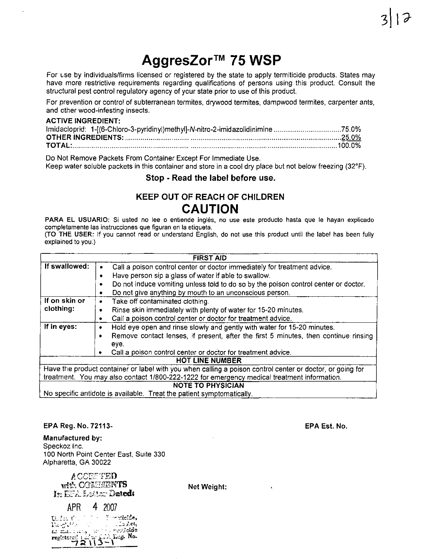For use by individuals/firms licensed or registered by the state to apply termiticide products. States may have more restrictive requirements regarding qualifications of persons using this product. Consult the structural pest control regulatory agency of your state prior to use of this product.

For prevention or control of subterranean termites, drywood termites, dampwood termites, carpenter ants, and other wood-infesting insects.

#### **ACTIVE INGREDIENT:**

Do Not Remove Packets From Container Except For Immediate Use.

Keep water soluble packets in this container and store in a cool dry place but not below freezing (32°F).

# Stop - Read the label before use.

# **KEEP OUT OF REACH OF CHILDREN CAUTION**

PARA EL USUARIO: Si usted no lee o entiende inglés, no use este producto hasta que le hayan explicado completamente las instrucciones que figuran en la etiqueta.

(TO THE USER: If you cannot read or understand English, do not use this product until the label has been fully explained to you.)

| <b>FIRST AID</b>         |                                                                                                           |  |  |  |  |  |
|--------------------------|-----------------------------------------------------------------------------------------------------------|--|--|--|--|--|
| If swallowed:            | Call a poison control center or doctor immediately for treatment advice.                                  |  |  |  |  |  |
|                          | Have person sip a glass of water if able to swallow.<br>۰                                                 |  |  |  |  |  |
|                          | Do not induce vomiting unless told to do so by the poison control center or doctor.<br>٠                  |  |  |  |  |  |
|                          | Do not give anything by mouth to an unconscious person.<br>٠                                              |  |  |  |  |  |
| If on skin or            | Take off contaminated clothing.<br>٠                                                                      |  |  |  |  |  |
| clothing:                | Rinse skin immediately with plenty of water for 15-20 minutes.<br>٠                                       |  |  |  |  |  |
|                          | Call a poison control center or doctor for treatment advice.<br>٠                                         |  |  |  |  |  |
| If in eyes:              | Hold eye open and rinse slowly and gently with water for 15-20 minutes.<br>٠                              |  |  |  |  |  |
|                          | Remove contact lenses, if present, after the first 5 minutes, then continue rinsing<br>٠                  |  |  |  |  |  |
|                          | eye.                                                                                                      |  |  |  |  |  |
|                          | Call a poison control center or doctor for treatment advice.                                              |  |  |  |  |  |
| <b>HOT LINE NUMBER</b>   |                                                                                                           |  |  |  |  |  |
|                          | Have the product container or label with you when calling a poison control center or doctor, or going for |  |  |  |  |  |
|                          | treatment. You may also contact 1/800-222-1222 for emergency medical treatment information.               |  |  |  |  |  |
| <b>NOTE TO PHYSICIAN</b> |                                                                                                           |  |  |  |  |  |
|                          | No specific antidote is available. Treat the patient symptomatically.                                     |  |  |  |  |  |

## EPA Reg. No. 72113-

**Manufactured by:** Speckoz Inc. 100 North Point Center East, Suite 330 Alpharetta, GA 30022

ACCEFTED with COMMENTS In EFA Lotter Dated:

APR 4 2007 ∄ ∽∽oricide, The fact th  $5.62$ r volalda na matu Leg. No.

Net Weight:

**EPA Est. No.**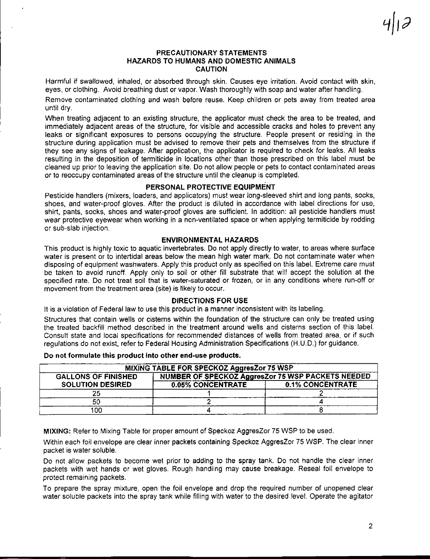## PRECAUTIONARY STATEMENTS HAZARDS TO HUMANS AND DOMESTIC ANIMALS CAUTION

Harmful if swallowed, inhaled, or absorbed through skin. Causes eye irritation. Avoid contact with skin, eyes, or clothing. Avoid breathing dust or vapor. Wash thoroughly with soap and water after handling.

Remove contaminated clothing and wash before reuse. Keep children or pets away from treated area until dry.

When treating adjacent to an existing structure, the applicator must check the area to be treated, and immediately adjacent areas of the structure, for visible and accessible cracks and holes to prevent any leaks or significant exposures to persons occupying the structure. People present or residing in the structure during application must be advised to remove their pets and themselves from the structure if they see any signs of leakage. After application, the applicator is required to check for leaks. All leaks resulting in the deposition of termiticide in locations other than those prescribed on this label must be cleaned up prior to leaving the application site. Do not allow people or pets to contact contaminated areas or to reoccupy contaminated areas of the structure until the cleanup is completed.

## PERSONAL PROTECTIVE EQUIPMENT

Pesticide handlers (mixers, loaders, and applicators) must wear long-sleeved shirt and long pants, socks, shoes, and water-proof gloves. After the product is diluted in accordance with label directions for use, shirt, pants, socks, shoes and water-proof gloves are sufficient. In addition: all pesticide handlers must wear protective eyewear when working in a non-ventilated space or when applying termiticide by rodding or sub-slab injection.

#### ENVIRONMENTAL HAZARDS

This product is highly toxic to aquatic invertebrates. Do not apply directly to water, to areas where surface water is present or to intertidal areas below the mean high water mark. Do not contaminate water when disposing of equipment washwaters. Apply this product only as specified on this label. Extreme care must be taken to avoid runoff. Apply only to soil or other fill substrate that will accept the solution at the specified rate. Do not treat soil that is water-saturated or frozen, or in any conditions where run-off or movement from the treatment area (site) is likely to occur.

## DIRECTIONS FOR USE

It is a violation of Federal law to use this product in a manner inconsistent with its labeling.

Structures that contain wells or cistems within the foundation of the structure can only be treated using the treated backfill method described in the' treatment around wells and cisterns section of this label. Consult state and local specifications for recommended distances of wells from treated area, or if such regulations do not exist, refer to Federal Housing Administration Specifications (H.U.D.) for guidance.

| MIXING TABLE FOR SPECKOZ AggresZor 75 WSP |                                                          |                         |  |
|-------------------------------------------|----------------------------------------------------------|-------------------------|--|
| <b>GALLONS OF FINISHED</b>                | <b>NUMBER OF SPECKOZ AggresZor 75 WSP PACKETS NEEDED</b> |                         |  |
| <b>SOLUTION DESIRED</b>                   | <b>0.05% CONCENTRATE</b>                                 | <b>0.1% CONCENTRATE</b> |  |
|                                           |                                                          |                         |  |
|                                           |                                                          |                         |  |
| .co                                       |                                                          |                         |  |

Do not formulate this product Into other end-use products.

MIXING: Refer to Mixing Table for proper amount of Speckoz AggresZor 75 WSP to be used.

Within each foil envelope are clear inner packets containing Speckoz AggresZor 75 WSP. The clear inner packet is water soluble.

Do not allow packets to become wet prior to adding to the spray tank. Do not handle the clear inner packets with wet hands or wet gloves. Rough handling may cause breakage. Reseal foil envelope to protect remaining packets.

To prepare the spray mixture, open the foil envelope and drop the required number of unopened clear water soluble packets into the spray tank while filling with water to the desired level. Operate the agitator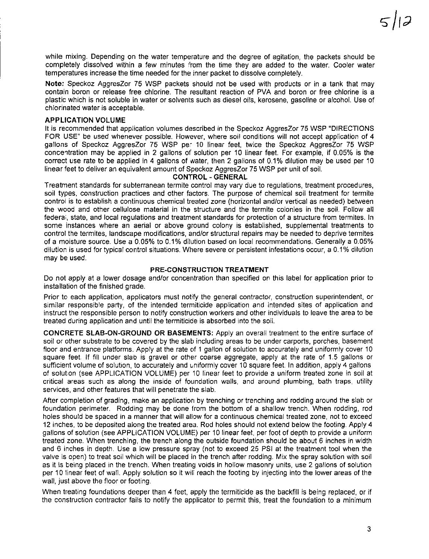while mixing. Depending on the water temperature and the degree of agitation, the packets should be completely dissolved within a few minutes from the time they are added to the water. Cooler water temperatures increase the time needed for the inner packet to dissolve completely.

**Note:** Speckoz AggresZor 75 WSP packets should not be used with products or in a tank that may contain boron or release free chlorine. The resultant reaction of PVA and boron or free chlorine is a plastic which is not soluble in water or solvents such as diesel oils, kerosene, gasoline or alcohol. Use of chlorinated water is acceptable.

#### **APPLICATION VOLUME**

It is recommended that application volumes described in the Speckoz AggresZor 75 WSP "DIRECTIONS" FOR USE" be used whenever possible. However, where soil conditions will not accept application of 4 gallons of Speckoz AggresZor 75 WSP pe- 10 linear feet, twice the Speckoz AggresZor 75 WSP concentration may be applied in 2 gallons of solution per 10 linear feet. For example, if 0.05% is the correct use rate to be applied in 4 gallons of water, then 2 gallons of 0.1% dilution may be used per 10 linear feet to deliver an equivalent amount of Speckoz AggresZor 75 WSP per unit of soil.

## **CONTROL-GENERAL**

Treatment standards for subterranean termite control may vary due to regulations, treatment procedures, soil types, construction practices and other factors. The purpose of chemical soil treatment for termite control is to establish a continuous chemical treated zone (horizontal and/or vertical as needed) between the wood and other cellulose material in the structure and the termite colonies in the soil. Follow all federai, state, and local regulations and treatment standards for protection of a structure from termites. In some instances where an aerial or above ground colony is established, supplemental treatments to control the termites, landscape modifications, and/or structural repairs may be needed to deprive termites of a moisture source. Use a 0.05% to 0.1 % dilution based on local recommendations. Generally a 0.05% dilution is used for typical control situations. Where severe or persistent infestations occur, a 0.1 % dilution may be used.

#### **PRE-CONSTRUCTION TREATMENT**

Do not apply at a lower dosage and/or concentration than specified on this label for application prior to installation of the finished grade.

Prior to each application, applicators must notify the general contractor, construction superintendent, or similar responsible party, of the intended termiticide application and intended sites of application and instruct the responsible person to notify construction workers and other individuals to leave the area to be treated during application and until the termiticide is absorbed into the soil.

**CONCRETE SLAB-ON-GROUND OR BASEMENTS:** Apply an overall treatment to the entire surface of soil or other substrate to be covered by the slab including areas to be under carports, porches, basement floor and entrance platforms. Apply at the rate of 1 gallon of solution to accurately and uniformly cover 10 square feet If fill under slab is gravel or other coarse aggregate, apply at the rate of 1.5 gallons or sufficient volume of solution, to accurately and uniformly cover 10 square feet. In addition, apply 4 gallons of solution (see APPLICATION VOLUME) per 10 linear feet to provide a uniform treated zone in soil at critical areas such as along the inside of foundation walls, and around plumbing, bath traps, utility services, and other features that will penetrate the slab.

After completion of grading, make an application by trenching or trenching and rodding around the slab or foundation perimeter. Rodding may be done from the bottom of a shallow trench. When rodding, rod holes should be spaced in a manner that will allow for a continuous chemical treated zone, not to exceed 12 inches, to be deposited along the treated area. Rod holes should not extend below the footing. Apply 4 gallons of solution (see APPLICATION VOLUME) per 10 linear feet, per foot of depth to provide a uniform treated zone. When trenching, the trench along the outside foundation should be about 6 inches in width and 6 inches in depth. Use a low pressure spray (not to exceed 25 PSI at the treatment tool when the valve is open) to treat soil which will be placed in the trench after rodding. Mix the spray solution with soil as it is being placed in the trench. When treating voids in hollow masonry units, use 2 gallons of solution per 10 linear feet of wall. Apply solution so it will reach the footing by injecting into the lower areas of the wall, just above the floor or footing.

When treating foundations deeper than 4 feet, apply the termiticide as the backfill is being replaced, or if the construction contractor fails to notify the applicator to permit this, treat the foundation to a minimum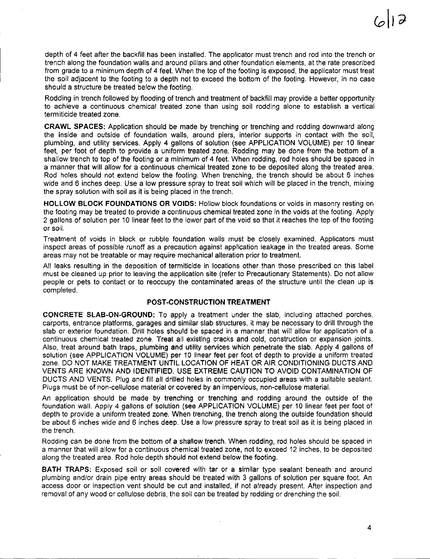depth of 4 feet after the backfill has been installed. The applicator must trench and rod into the trench or trench along the foundation walls and around pillars and other foundation elements, at the rate prescribed from grade to a minimum depth of 4 feet. When the top of the footing is exposed, the applicator must treat the soil adjacent to the footing to a depth not to exceed the bottom of the footing. However, in no case should a structure be treated below the footing.

Rodding in trench followed by flooding of trench and treatment of backfill may provide a better opportunity to achieve a continuous chemical treated zone than using soil rodding alone to establish a vertical termiticide treated zone.

**CRAWL SPACES:** Application should be made by trenching or trenching and rodding downward along the inside and outside of foundation walls, around piers, interior supports in contact with the soil, plumbing, and utility services. Apply 4 gallons of solution (see APPLICATION VOLUME) per 10 linear feet, per foot of depth to provide a uniform treated zone. Rodding may be done from the bottom of a shallow trench to top of the footing or a minimum of 4 feet. When rodding, rod holes should be spaced in a manner that will allow for a continuous chemical treated zone to be deposited along the treated area. Rod holes should not extend below the footing. When trenching, the trench should be about 6 inches wide and 6 inches deep. Use a low pressure spray to treat soil which will be placed in the trench, mixing the spray solution with soil as it is being placed in the trench.

**HOLLOW BLOCK FOUNDATIONS** OR VOIDS: Hollow block foundations or voids in masonry resting on the footing may be treated to provide a continuous chemical treated zone in the voids at the footing. Apply 2 gallons of solution per 10 linear feet to the lower part of the void so that it reaches the top of the footing or soil.

Treatment of voids in block or rubble foundation walls must be closely examined. Applicators must inspect areas of possible runoff as a precaution against application leakage in the treated areas. Some areas may not be treatable or may require mechanical alteration prior to treatment.

All leaks resulting in the deposition of termiticide in locations other than those prescribed on this label must be cleaned up prior to leaving the application site (refer to Precautionary Statements). Do not allow people or pets to contact or to reoccupy the contaminated areas of the structure until the clean up is completed.

## **POST-CONSTRUCTION TREATMENT**

**CONCRETE SLAB-ON-GROUND:** To apply a treatment under the slab, including attached porches, carports, entrance platforms, garages and similar slab structures, it may be necessary to drill through the slab or exterior foundation. Drill holes should be spaced in a manner that will allow for application of a continuous chemical treated zone. Treat all existing cracks and cold, construction or expansion joints. Also, treat around bath traps, plumbing and utility services which penetrate the slab. Apply 4 gallons of solution (see APPLICATION VOLUME) per 10 linear feet per foot of depth to provide a uniform treated zone. DO NOT MAKE TREATMENT UNTIL LOCATION OF HEAT OR AIR CONDITIONING DUCTS AND VENTS ARE KNOWN AND IDENTIFIED. USE EXTREME CAUTION TO AVOID CONTAMINATION OF DUCTS AND VENTS. Plug and fill all drilled holes in commonly occupied areas with a suitable sealant. Plugs must be of non-cellulose material or covered by an impervious, non-cellulose material.

An application should be made by trenching or trenching and rodding around the outside of the foundation wall. Apply 4 gallons of solution (see APPLICATION VOLUME) per 10 linear feet per foot of depth to provide a uniform treated zone. When trenching, the trench along the outside foundation should be about 6 inches wide and 6 inches deep. Use a low pressure spray to treat soil as it is being placed in the trench.

Rodding can be done from the bottom of a shallow trench. When rodding, rod holes should be spaced in a manner that will allow for a continuous chemical treated zone, not to exceed 12 inches, to be deposited along the treated area. Rod hole depth should not extend below the footing.

**BATH** TRAPS: Exposed soil or soil covered with tar or a similar type sealant beneath and around plumbing and/or drain pipe entry areas should be treated with 3 gallons of solution per square foot. An access door or inspection vent should be cut and installed, if not already present. After inspection and removal of any wood or cellulose debris, the soil can be treated by rodding or drenching the soil.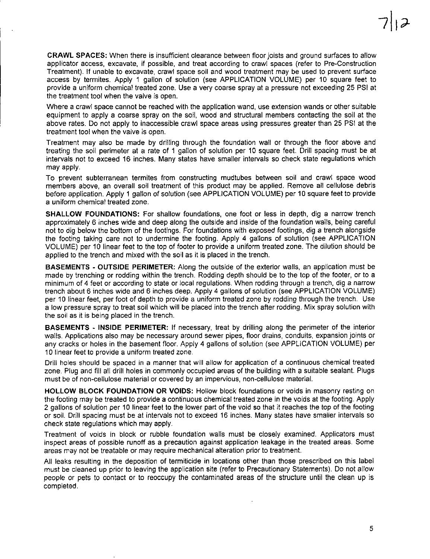**CRAWL SPACES:** When there is insufficient clearance between floor joists and ground surfaces to allow applicator access, excavate, if possible, and treat according to crawl spaces (refer to Pre-Construction Treatment). If unable to excavate, crawl space soil and wood treatment may be used to prevent surface access by termites. Apply 1 gallon of solution (see APPLICATION VOLUME) per 10 square feet to provide a uniform chemical treated zone. Use a very coarse spray at a pressure not exceeding 25 PSI at the treatment tool when the valve is open.

Where a crawl space cannot be reached with the application wand, use extension wands or other suitable equipment to apply a coarse spray on the soil, wood and structural members contacting the soil at the above rates. Do not apply to inaccessible crewl space areas using pressures greater than 25 PSI at the treatment tool when the valve is open.

Treatment may also be made by drilling through the foundation wall or through the fioor above and treating the soil perimeter at a rate of 1 gallon of solution per 10 square feet. Drill spacing must be at intervals not to exceed 16 inches. Many states have smaller intervals so check state regulations which may apply.

To prevent subterranean termites from constructing mudtubes between soil and crawl space wood members above, an overall soil treatment of this product may be applied. Remove all cellulose debris before application. Apply 1 gallon of solution (see APPLICATION VOLUME) per 10 square feet to provide a uniform chemical treated zone.

**SHALLOW FOUNDATIONS:** For shallow foundations, one foot or less in depth, dig a narrow trench approximately 6 inches wide and deep along the outside and inside of the foundation walls, being careful not to dig below the bottom of the footings. For foundations with exposed footings, dig a trench alongside the footing taking care not to undermine the footing. Apply 4 gallons of solution (see APPLICATION VOLUME) per 10 linear feet to the top of footer to provide a uniform treated zone. The dilution should be applied to the trench and mixed with the soil as it is placed in the trench.

**BASEMENTS - OUTSIDE PERIMETER:** Along the outside of the exterior walls, an application must be made by trenching or rodding within the trench. Rodding depth should be to the top of the footer, or to a minimum of 4 feet or according to state or local regulations. When rodding through a trench, dig a narrow trench about 6 inches wide and 6 inches deep. Apply 4 gallons of solution (see APPLICATION VOLUME) per 10 linear feet, per foot of depth to provide a uniform treated zone by rodding through the trench. Use a low pressure spray to treat soil which will be placed into the trench after rodding. Mix spray solution with the soil as it is being placed in the trench.

**BASEMENTS - INSIDE PERIMETER:** If necessary, treat by drilling along the perimeter of the interior walls. Applications also may be necessary around sewer pipes, fioor drains, conduits, expansion joints or any cracks or holes in the basement floor. Apply 4 gallons of solution (see APPLICATION VOLUME) per 10 linear feet to provide a uniform treated zone.

Drill holes should be spaced in a manner that will allow for application of a continuous chemical treated zone. Plug and fill all drill holes in commonly occupied areas of the building with a suitable sealant. Plugs must be of non-cellulose material or covered by an impervious, non-cellulose material.

**HOLLOW BLOCK FOUNDATION OR VOIDS:** Hollow block foundations or voids in masonry resting on the footing may be treated to provide a continuous chemical treated zone in the voids at the footing. Apply 2 gallons of solution per 10 linear feet to the lower part of the void so that it reaches the top of the footing or soil. Drill spacing must be at intervals not to exceed 16 inches. Many states have smaller intervals so check state regulations which may apply.

Treatment of voids in block or rubble foundation walls must be closely examined. Applicators must inspect areas of possible runoff as a precaution against application leakage in the treated areas. Some areas may not be treatable or may require mechanical alteration prior to treatment.

All leaks resulting in the deposition of termiticide in locations other than those prescribed on this label must be cleaned up prior to leaving the application site (refer to Precautionary Statements). Do not allow people or pets to contact or to reoccupy the contaminated areas of the structure until the clean up is completed.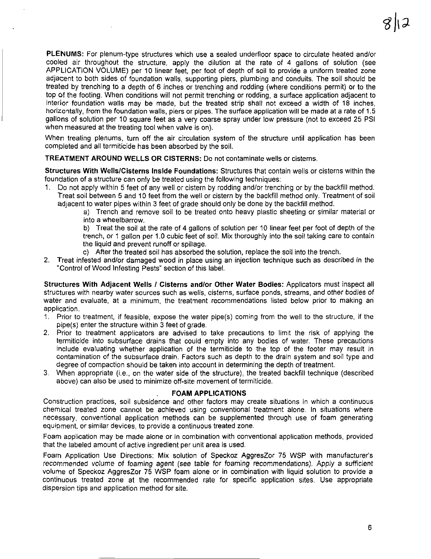PLENUMS: For plenum-type structures which use a sealed underfloor space to circulate heated and/or cooled air throughout the structure, apply the dilution at the rate of 4 gallons of solution (see APPLICATION VOLUME) per 10 linear feet, per foot of depth of soil to provide a uniform treated zone adjacent to both sides of foundation walls, supporting piers, plumbing and conduits. The soil should be treated by trenching to a depth of 6 inches or trenching and rodding (where conditions permit) or to the top of the footing. When conditions will not permit trenching or rodding, a surface application adjacent to interior foundation walls may be made, but the treated strip shall not exceed a width of 18 inches, horizontally, from the foundation walls, piers or pipes. The surface application will be made at a rate of 1.5 gallons of solution per 10 square feet as a very coarse spray under low pressure (not to exceed 25 PSI when measured at the treating tool when valve is on).

When treating plenums, turn off the air circulation system of the structure until application has been completed and all termiticide has been absorbed by the soil.

TREATMENT AROUND WELLS OR CISTERNS: Do not contaminate wells or cisterns.

Structures With Wells/Cisterns Inside Foundations: Structures that contain wells or cisterns within the foundation of a structure can only be treated using the following techniques:

1. Do not apply within 5 feet of any well or cistern by rodding and/or trenching or by the backfill method. Treat soil between 5 and 10 feet from the well or cistern by the backfill method only. Treatment of soil adjacent to water pipes within 3 feet of grade should only be done by the backfill method.

> a) Trench and remove soil to be treated onto heavy plastic sheeting or similar material or into a wheelbarrow.

> b) Treat the soil at the rate of 4 gallons of solution per 10 linear feet per foot of depth of the trench, or 1 gallon per 1.0 cubic feet of soil. Mix thoroughly into the soil taking care to contain the liquid and prevent runoff or spillage.

- c) After the treated soil has absorbed the solution, replace the soil into the trench.
- 2. Treat infested and/or damaged wood in place using an injection technique such as described in the "Control of Wood Infesting Pests" section of this label.

Structures With Adjacent Wells / Cisterns and/or Other Water Bodies: Applicators must inspect all structures with nearby water sources such as wells, cisterns, surface ponds, streams, and other bodies of water and evaluate, at a minimum, the treatment recommendations listed below prior to making an application.

- 1. Prior to treatment, if feasible, expose the water pipets) coming from the well to the structure, if the pipe(s) enter the structure within 3 feet of grade.
- 2. Prior to treatment applicators are advised to take precautions to limit the risk of applying the termiticide into subsurface drains that could empty into any bodies of water. These precautions include evaluating whether application of the termiticide to the top of the footer may result in contamination of the subsurface drain. Factors such as depth to the drain system and soil type and degree of compaction should be taken into account in determining the depth of treatment.
- 3. When appropriate (i.e., on the water side of the structure), the treated backfill technique (described above) can also be used to minimize off-site movement of termiticide.

#### FOAM APPLICATIONS

Construction practices, soil subsidence and other factors may create situations in which a continuous chemical treated zone cannot be achieved using conventional treatment alone. In situations where necessary, conventional application methods can be supplemented through use of foam generating equipment, or similar devices, to provide a continuous treated zone.

Foam aoplication may be made alone or in combination with conventional application methods, provided that the labeled amount of active ingredient per unit area is used.

Foam Application Use Directions: Mix solution of Speckoz AggresZor 75 WSP with manufacturer's recommended volume of foaming agent (see table for foaming recommendations). Apply a sufficient volume of Speckoz AggresZor 75 WSP foam alone or in combination with liquid solution to provide a continuous treated zone at the recommended rate for specific application sites. Use appropriate dispersion tips and application method for site.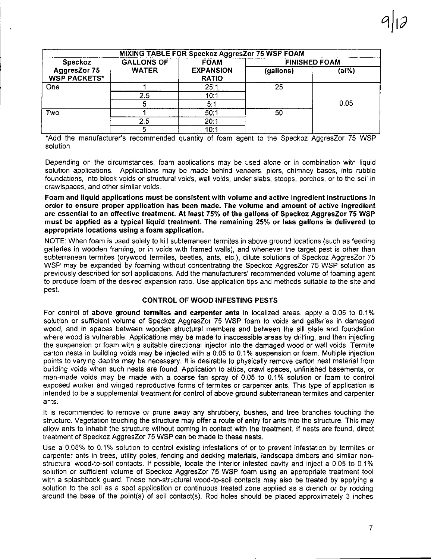| MIXING TABLE FOR Speckoz AggresZor 75 WSP FOAM |                   |                                  |                      |       |
|------------------------------------------------|-------------------|----------------------------------|----------------------|-------|
| Speckoz                                        | <b>GALLONS OF</b> | <b>FOAM</b>                      | <b>FINISHED FOAM</b> |       |
| AggresZor 75<br><b>WSP PACKETS*</b>            | <b>WATER</b>      | <b>EXPANSION</b><br><b>RATIO</b> | (gallons)            | (ai%) |
| One                                            |                   | 25:1                             | 25                   |       |
|                                                | 2.5               | 10:1                             |                      |       |
|                                                |                   | 5:1                              |                      | 0.05  |
| Two                                            |                   | 50:1                             | 50                   |       |
|                                                | 2.5               | 20:1                             |                      |       |
|                                                | 5                 | 10:1                             |                      |       |

\*Add the manufacturer's recommended quantity of foam agent to the Speckoz AggresZor 75 WSP solution.

Depending on the circumstances, foam applications may be used alone or in combination with liquid solution applications. Applications may be made behind veneers, piers, chimney bases, into rubble foundations, into block voids or structural voids, wall voids, under slabs, stoops, porches, or to the soil in crawls paces, and other similar voids.

Foam and liquid applications must be consistent with volume and active ingredient instructions in order to ensure proper application has been made. The volume and amount of active ingredient are essential to an effective treatment. At least 75% of the gallons of Speckoz AggresZor 75 WSP must be applied as a typical liquid treatment. The remaining 25% or less gallons is delivered to appropriate locations using a foam application.

NOTE: When foam is used solely to kill subterranean termites in above ground locations (such as feeding galleries in wooden framing, or in voids with framed walls), and whenever the target pest is other than subterranean termites (drywood termites, beetles, ants, etc.), dilute solutions of Speckoz AggresZor 75 WSP may be expanded by foaming without concentrating the Speckoz AggresZor 75 WSP solution as previously described for soil applications. Add the manufacturers' recommended volume of foaming agent to produce foam of the desired expansion ratio. Use application tips and methods suitable to the site and pest. '

# CONTROL OF WOOD INFESTING PESTS

For control of above ground termites and carpenter ants in localized areas, apply a 0.05 to 0.1% solution or sufficient volume of Speckoz AggresZor 75 WSP foam to voids and galleries in damaged wood, and in spaces between wooden structural members and between the sill plate and foundation where wood is vulnerable. Applications may be made to inaccessible areas by drilling, and then injecting the suspension or foam with a suitable directional injector into the damaged wood or wall voids. Termite carton nests in building voids may be injected with a 0.05 to 0.1% suspension or foam. Multiple injection points to varying depths may be necessary. It is desirable to physically remove carton nest material from building voids when such nests are found. Application to attics, crawl spaces, unfinished basements, or man-made voids may be made with a coarse fan spray of 0.05 to 0.1% solution or foam to control exposed worker and winged reproductive forms of termites or carpenter ants. This type of application is intended to be a supplemental treatment for control of above ground subterranean termites and carpenter ants.

It is recommended to remove or prune away any shrubbery, bushes, and tree branches touching the structure. Vegetation touching the structure may offer a route of entry for ants into the structure. This may allow ants to inhabit the structure without coming in contact with the treatment. If nests are found, direct treatment of Speckoz AggresZor 75 WSP can be made to these nests.

Use a 0.05% to 0.1% solution to control existing infestations of or to prevent infestation by termites or carpenter ants in trees, utility poles, fencing and decking materials, landscape timbers and similar nonstructural wood-to-soil contacts. If possible, locate the interior infested cavity and inject a 0.05 to 0.1% solution or sufficient volume of Speckoz AggresZor 75 WSP foam using an appropriate treatment tool with a splashback guard. These non-structural wood-to-soil contacts may also be treated by applying a solution to the soil as a spot application or continuous treated zone applied as a drench or by rodding around the base of the point(s) of soil contact(s). Rod holes should be placed approximately 3 inches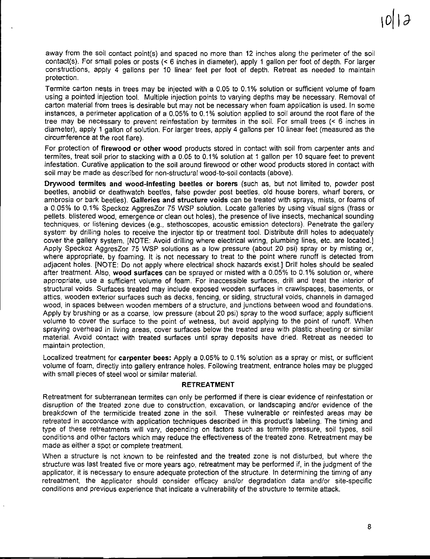away from the soil contact point(s) and spaced no more than 12 inches along the perimeter of the soil contact(s). For small poles or posts (< 6 inches in diameter), apply 1 gallon per foot of depth. For larger constructions, apply 4 gallons per 10 linear feet per foot of depth. Retreat as needed to maintain protection.

Termite carton nests in trees may be injected with a 0.05 to 0.1% solution or sufficient volume of foam using a pointed injection tool. Multiple injection points to varying depths may be necessary. Removal of carton material from trees is desirable but may not be necessary when foam application is used. In some instances, a perimeter application of a 0.05% to 0.1 % solution applied to soil around the root flare of the tree may be necessary to prevent reinfestation by termites in the soil. For small trees (< 6 inches in diameter), apply 1 gallon of solution. For larger trees, apply 4 gallons per 10 linear feet (measured as the circumference at the root flare).

For protection of **firewood or other wood** products stored in contact with soil from carpenter ants and termites, treat soil prior to stacking with a 0.05 to 0.1% solution at 1 gallon per 10 square feet to prevent infestation. Curative application to the soil around firewood or other wood products stored in contact with soil may be made as described for non-structural wood-to-soil contacts (above).

**Drywood termites and wood-infesting beetles or borers (such as, but not limited to, powder post** beetles, anobiid or deathwatch beetles, false powder post beetles, old house borers, wharf borers, or ambrosia or bark beetles). **Galleries and structure voids** can be treated with sprays, mists, or foams of a 0.05% to 0.1% Speckoz AggresZor 75 WSP solution. Locate galleries by using visual signs (frass or pellets. blistered wood, emergence or clean out holes), the presence of live insects, mechanical sounding techniques, or listening devices (e.g., stethoscopes, acoustic emission detectors). Penetrate the gallery system by drilling holes to receive the injector tip or treatment tool. Distribute drill holes to adequately cover the gallery system. [NOTE: Avoid drilling where electrical wiring, plumbing lines, etc. are located.] Apply Speckoz AggresZor 75 WSP solutions as a low pressure (about 20 psi) spray or by misting or, where appropriate, by foaming. It is not necessary to treat to the point where runoff is detected from adjacent holes. [NOTE: **Do** not apply where electrical shock hazards exist.] Drill holes should be sealed after treatment. Also, **wood surfaces** can be sprayed or misted with a 0.05% to 0.1 % solution or, where appropriate, use a sufficient volume of foam. For inaccessible surfaces, drill and treat the interior of structural voids. Surfaces treated may include exposed wooden surfaces in crawlspaces, basements, or attics, wooden exterior surfaces such as decks, fencing, or siding, structural voids, channels in damaged wood, in spaces between wooden members of a structure, and junctions between wood and foundations. Apply by brushing or as a coarse, low pressure (about 20 psi) spray to the wood surface; apply sufficient volume to cover the surface to the point of wetness, but avoid applying to the point of runoff. When spraying overhead in living areas, cover surfaces below the treated area with plastic sheeting or similar material. Avoid contact with treated surfaces until spray deposits have dried. Retreat as needed to maintain protection.

Localized treatment for **carpenter bees:** Apply a 0.05% to 0.1 % solution as a spray or mist, or sufficient volume of foam, directly into gallery entrance holes. Following treatment, entrance holes may be plugged with small pieces of steel wool or similar material.

## **RETREATMENT**

Retreatment for subterranean termites can only be performed if there is clear evidence of reinfestation or disruption of the treated zone due to construction, excavation, or landscaping and/or evidence of the breakdown of the termiticide treated zone in the soil. These vulnerable or reinfested areas may be retreated in accordance with application techniques described in this product's labeling. The timing and type of these retreatments will vary, depending on factors such as termite pressure, soil types, soil conditions and other factors which may reduce the effectiveness of the treated zone. Retreatment may be made as either a spot or complete treatment.

When a structure is not known to be reinfested and the treated zone is not disturbed, but where the structure was last treated five or more years ago, retreatment may be performed if, in the judgment of the applicator, it is necessary to ensure adequate protection of the structure. In determining the timing of any retreatment, the applicator should consider efficacy and/or degradation data and/or site-specific conditions and previous experience that indicate a vulnerability of the structure to termite attack.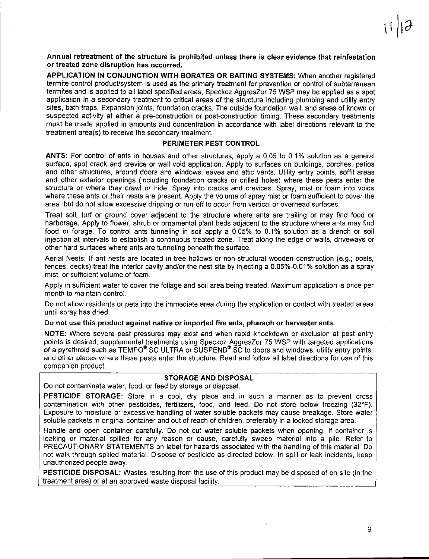Annual retreatment of the structure is prohibited unless there is clear evidence that reinfestation or treated zone disruption has occurred.

APPLICATION IN CONJUNCTION WITH BORATES OR BAITING SYSTEMS: When another registered termite control producUsystem is used as the primary treatment for prevention or control of subterranean termites and is applied to all label specified areas. Speckoz AggresZor 75 WSP may be applied as a spot application in a secondary treatment to critical areas of the structure including plumbing and utility entry sites. bath traps. Expansion joints, foundation cracks. The outside foundation wall, and areas of known or suspected activity at either a pre-construction or post-construction timing. These secondary treatments must be made applied in amounts and concentration in accordance with label directions relevant to the treatment area(s) to receive the secondary treatment.

#### PERIMETER PEST CONTROL

ANTS: For control of ants in houses and other structures, apply a 0.05 to 0.1% solution as a general surface, spot crack and crevice or wall void application. Apply to surfaces on buildings, porches, patios and other structures, around doors and windows, eaves and attic vents. Utility entry points, soffit areas and other exterior openings (including foundation cracks or drilled holes) where these pests enter the structure or where they crawl or hide. Spray into cracks and crevices. Spray, mist or foam into voids where these ants or their nests are present. Apply the volume of spray mist or foam sufficient to cover the area, but do not allow excessive dripping or run-off to occur from vertical or overhead surfaces.

Treat soil, turf or ground cover adjacent to the structure where ants are trailing or may find food or harborage. Apply to flower, shrub or ornamental plant beds adjacent to the structure where ants may find food or forage. To control ants tunneling in soil apply a 0.05% to 0.1% solution as a drench or soil injection at intervals to establish a continuous treated zone. Treat along the edge of walls, driveways or other hard surfaces where ants are tunneling beneath the surface.

Aerial Nests: If ant nests are located in tree hollows or non-structural wooden construction (e.g.; posts, fences, decks) treat the interior cavity and/or the nest site by injecting a 0.05%-0.01% solution as a spray mist, or sufficient volume of foam.

Apply in sufficient water to cover the foliage and soil area being treated. Maximum application is once per month to maintain control.

Do not allow residents or pets into the immediate area during the application or contact with treated areas until spray has dried.

#### Do not use this product against native or imported fire ants, pharaoh or harvester ants.

NOTE: Where severe pest pressures may exist and when rapid knockdown or exclusion at pest entry points is desired, supplemental treatments using Speckoz AggresZor 75 WSP with targeted applications of a pyrethroid such as TEMPO<sup>®</sup> SC ULTRA or SUSPEND<sup>®</sup> SC to doors and windows, utility entry points, and other places where these pests enter the structure. Read and follow all label directions for use of this companion product.

# STORAGE AND DISPOSAL

Do not contaminate water, food, or feed by storage or disposal.

PESTICIDE STORAGE: Store in a cool, dry place and in such a manner as to prevent cross contamination with other pesticides, fertilizers, food, and feed. Do not store below freezing (32'F). Exposure to moisture or excessive handling of water soluble packets may cause breakage. Store water soluble packets in original container and out of reach of children, preferably in a locked storage area.

Handle and open container carefully. Do not cut water soluble packets when opening. If container is leaking or material spilled for any reason or cause, carefully sweep material into a pile. Refer to PRECAUTIONARY STATEMENTS on label for hazards associated with the handling of this material. Do not wall, through spilled material. Dispose of pesticide as directed below. In spill or leak incidents, keep unauthorized people away.

PESTICIDE DISPOSAL: Wastes resulting from the use of this product may be disposed of on site (in the treatment area) or at an approved waste disposal facility.